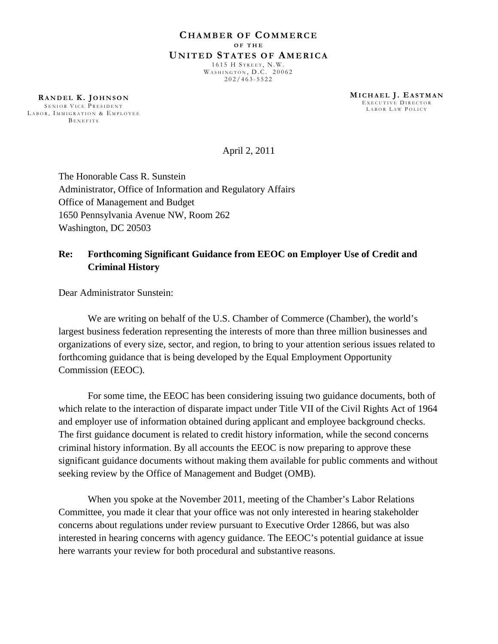**RA N D E L K . JO H N S O N** SENIOR VICE PRESIDENT LABOR, IMMIGRATION & EMPLOYEE BENEFITS

**MI C H A E L J . EA S T M A N** EXECUTIVE DIRECTOR LABOR LAW POLICY

April 2, 2011

The Honorable Cass R. Sunstein Administrator, Office of Information and Regulatory Affairs Office of Management and Budget 1650 Pennsylvania Avenue NW, Room 262 Washington, DC 20503

## **Re: Forthcoming Significant Guidance from EEOC on Employer Use of Credit and Criminal History**

Dear Administrator Sunstein:

We are writing on behalf of the U.S. Chamber of Commerce (Chamber), the world's largest business federation representing the interests of more than three million businesses and organizations of every size, sector, and region, to bring to your attention serious issues related to forthcoming guidance that is being developed by the Equal Employment Opportunity Commission (EEOC).

For some time, the EEOC has been considering issuing two guidance documents, both of which relate to the interaction of disparate impact under Title VII of the Civil Rights Act of 1964 and employer use of information obtained during applicant and employee background checks. The first guidance document is related to credit history information, while the second concerns criminal history information. By all accounts the EEOC is now preparing to approve these significant guidance documents without making them available for public comments and without seeking review by the Office of Management and Budget (OMB).

When you spoke at the November 2011, meeting of the Chamber's Labor Relations Committee, you made it clear that your office was not only interested in hearing stakeholder concerns about regulations under review pursuant to Executive Order 12866, but was also interested in hearing concerns with agency guidance. The EEOC's potential guidance at issue here warrants your review for both procedural and substantive reasons.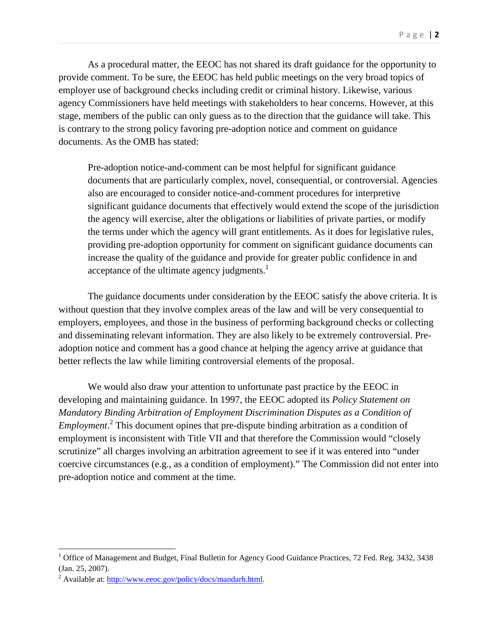As a procedural matter, the EEOC has not shared its draft guidance for the opportunity to provide comment. To be sure, the EEOC has held public meetings on the very broad topics of employer use of background checks including credit or criminal history. Likewise, various agency Commissioners have held meetings with stakeholders to hear concerns. However, at this stage, members of the public can only guess as to the direction that the guidance will take. This is contrary to the strong policy favoring pre-adoption notice and comment on guidance documents. As the OMB has stated:

Pre-adoption notice-and-comment can be most helpful for significant guidance documents that are particularly complex, novel, consequential, or controversial. Agencies also are encouraged to consider notice-and-comment procedures for interpretive significant guidance documents that effectively would extend the scope of the jurisdiction the agency will exercise, alter the obligations or liabilities of private parties, or modify the terms under which the agency will grant entitlements. As it does for legislative rules, providing pre-adoption opportunity for comment on significant guidance documents can increase the quality of the guidance and provide for greater public confidence in and acceptance of the ultimate agency judgments. $<sup>1</sup>$  $<sup>1</sup>$  $<sup>1</sup>$ </sup>

The guidance documents under consideration by the EEOC satisfy the above criteria. It is without question that they involve complex areas of the law and will be very consequential to employers, employees, and those in the business of performing background checks or collecting and disseminating relevant information. They are also likely to be extremely controversial. Preadoption notice and comment has a good chance at helping the agency arrive at guidance that better reflects the law while limiting controversial elements of the proposal.

We would also draw your attention to unfortunate past practice by the EEOC in developing and maintaining guidance. In 1997, the EEOC adopted its *Policy Statement on Mandatory Binding Arbitration of Employment Discrimination Disputes as a Condition of Employment.*<sup>[2](#page-1-1)</sup> This document opines that pre-dispute binding arbitration as a condition of employment is inconsistent with Title VII and that therefore the Commission would "closely scrutinize" all charges involving an arbitration agreement to see if it was entered into "under coercive circumstances (e.g., as a condition of employment)." The Commission did not enter into pre-adoption notice and comment at the time.

<span id="page-1-0"></span><sup>&</sup>lt;sup>1</sup> Office of Management and Budget, Final Bulletin for Agency Good Guidance Practices, 72 Fed. Reg. 3432, 3438 (Jan. 25, 2007).

<span id="page-1-1"></span><sup>&</sup>lt;sup>2</sup> Available at: http://www.eeoc.gov/policy/docs/mandarb.html.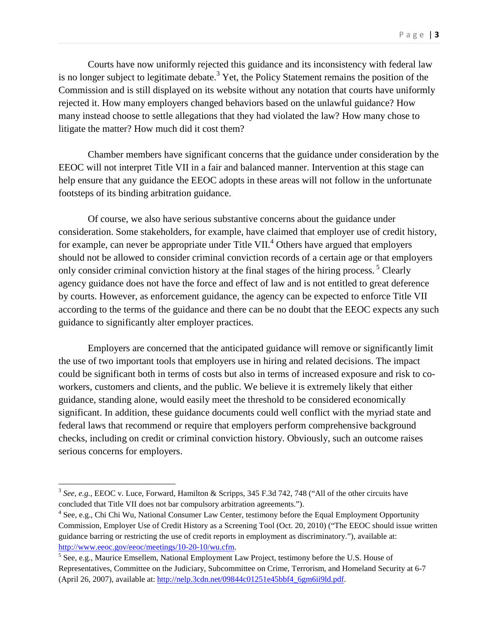Courts have now uniformly rejected this guidance and its inconsistency with federal law is no longer subject to legitimate debate.<sup>[3](#page-2-0)</sup> Yet, the Policy Statement remains the position of the Commission and is still displayed on its website without any notation that courts have uniformly rejected it. How many employers changed behaviors based on the unlawful guidance? How many instead choose to settle allegations that they had violated the law? How many chose to litigate the matter? How much did it cost them?

Chamber members have significant concerns that the guidance under consideration by the EEOC will not interpret Title VII in a fair and balanced manner. Intervention at this stage can help ensure that any guidance the EEOC adopts in these areas will not follow in the unfortunate footsteps of its binding arbitration guidance.

Of course, we also have serious substantive concerns about the guidance under consideration. Some stakeholders, for example, have claimed that employer use of credit history, forexample, can never be appropriate under Title VII[.](#page-2-1)<sup>4</sup> Others have argued that employers should not be allowed to consider criminal conviction records of a certain age or that employers only consider criminal conviction history at the final stages of the hiring process.<sup>[5](#page-2-2)</sup> Clearly agency guidance does not have the force and effect of law and is not entitled to great deference by courts. However, as enforcement guidance, the agency can be expected to enforce Title VII according to the terms of the guidance and there can be no doubt that the EEOC expects any such guidance to significantly alter employer practices.

Employers are concerned that the anticipated guidance will remove or significantly limit the use of two important tools that employers use in hiring and related decisions. The impact could be significant both in terms of costs but also in terms of increased exposure and risk to coworkers, customers and clients, and the public. We believe it is extremely likely that either guidance, standing alone, would easily meet the threshold to be considered economically significant. In addition, these guidance documents could well conflict with the myriad state and federal laws that recommend or require that employers perform comprehensive background checks, including on credit or criminal conviction history. Obviously, such an outcome raises serious concerns for employers.

<span id="page-2-0"></span><sup>&</sup>lt;sup>3</sup> See, e.g., EEOC v. Luce, Forward, Hamilton & Scripps, 345 F.3d 742, 748 ("All of the other circuits have concluded that Title VII does not bar compulsory arbitration agreements.").

<span id="page-2-1"></span><sup>&</sup>lt;sup>4</sup> See, e.g., Chi Chi Wu, National Consumer Law Center, testimony before the Equal Employment Opportunity Commission, Employer Use of Credit History as a Screening Tool (Oct. 20, 2010) ("The EEOC should issue written guidance barring or restricting the use of credit reports in employment as discriminatory."), available at: http://www.eeoc.gov/eeoc/meetings/10-20-10/wu.cfm.

<span id="page-2-2"></span><sup>&</sup>lt;sup>5</sup> See, e.g., Maurice Emsellem, National Employment Law Project, testimony before the U.S. House of Representatives, Committee on the Judiciary, Subcommittee on Crime, Terrorism, and Homeland Security at 6-7 (April 26, 2007), available at: http://nelp.3cdn.net/09844c01251e45bbf4\_6gm6ii9ld.pdf.